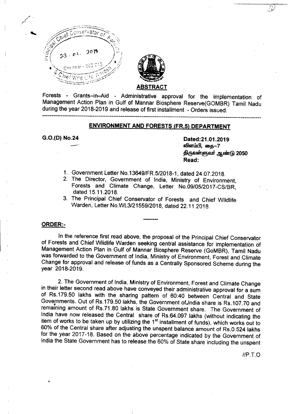



Forests - Grants-in-Aid - Administrative approval for the implementation of Management Action Plan in Gulf of Mannar Biosphere Reserve(GOMBR) Tamil Nadu during the year 2018-2019 and release of first installment - Orders issued.

 $--\frac{1}{2}$  . The contribution of the contribution of the contribution of the contribution of the contribution of the contribution of the contribution of the contribution of the contribution of the contribution of the cont

# ENVIRONMENT AND FORESTS (FR.5) DEPARTMENT

G.O.(D) No.24

Dated: 21.01.2019 விளம்பி, கை—7 திருவள்ளுவர் ஆண்டு 2050 Read:

- 1. Government Letter NO.13649/FR.S/2018-1, dated 24.07.2018.
- 2. The Director, Government of India, Ministry of Environment, Forests and Climate Change, Letter *NO.09/0S/2017-CS/BR,* dated 1S.11.2018.
- 3. The Principal Chief Conservator of Forests and Chief Wildlife Warden, Letter *No.WL3J21559J2018,* dated 22.11.2018.

## ORDER:-

In the reference first read above, the proposal of the Principal Chief Conservator of Forests and Chief Wildlife Warden seeking central assistance for implementation of Management Action Plan in Gulf of Mannar Biosphere Reserve (GoMBR), Tamil Nadu was forwarded to the Government of India, Ministry of Environment, Forest and Climate Change for approval and release of funds as a Centrally Sponsored Scheme during the year 2018-2019.

2. The Government of India, Ministry of Environment, Forest and Climate Change in their letter second read above have conveyed their administrative approval for a sum of Rs.179.50 lakhs with the sharing pattern of 60:40 between Central and State Governments. Out of Rs.179.50 lakhs, the Government of.lndia share is Rs.107.70 and • remaining amount of Rs.71.80 lakhs is State Government share. The Government of India have now released the Central share of RS.64.097 lakhs (without indicating the item of works to be taken up by utilizing the 1<sup>st</sup> installment of funds), which works out to 60% of the Central share after adjusting the unspent balance amount of RS.0.524 lakhs for the year 2017-18. Based on the above percentage indicated by the Government of India the State Government has to release the 60% of State share including the unspent

*IIP.T.O*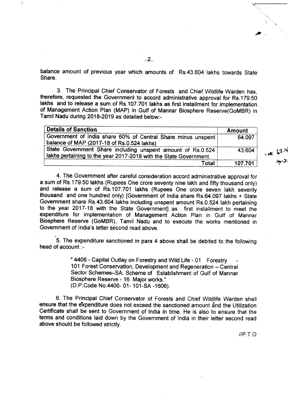balance amount of previous year which amounts of Rs.43.604 lakhs towards State Share.

3. The Principal Chief Conservator of Forests and Chief Wildlife Warden has, therefore, requested the Government to accord administrative approval for Rs.179.50 lakhs and to release a sum of Rs.107.701 lakhs as first installment for implementation of Management Action Plan (MAP) in Gulf of Mannar Biosphere Reserve(GoMBR) in Tamil Nadu during 2018-2019 as detailed below:-

| <b>Details of Sanction</b>                                                                                                       | <b>Amount</b> |
|----------------------------------------------------------------------------------------------------------------------------------|---------------|
| Government of India share 60% of Central Share minus unspent<br>balance of MAP (2017-18 of Rs.0.524 lakhs)                       | 64.097        |
| State Government Share including unspent amount of Rs.0.524<br>Iakhs pertaining to the year 2017-2018 with the State Government. | 43.604        |
| Total                                                                                                                            | 107.701       |

4. The Government after careful consideration accord administrative approval for a sum of Rs.179.50 lakhs (Rupees One crore seventy nine lakh and fifty thousand only) and release a sum of Rs.107.701 lakhs (Rupees One crore seven lakh seventy thousand and one hundred only) [Government of India share Rs.64.097 lakhs + State Government share Rs.43.604 lakhs including unspent amount RS.0.524 lakh pertaining to the year 2017-18 with the State Government] as first installment to meet the expenditure for implementation of Management Action Plan in Gulf of Mannar Biosphere Reserve (GoMBR), Tamil Nadu and to execute the works mentioned in Government of India's letter second read above.

5. The expenditure sanctioned in para 4 above shall be debited to the following head of account :-

> "4406 - Capital Outlay on Forestry and Wild Life - 01 Forestry 101 Forest Conservation, Development and Regeneration - Central Sector Schemes-SA. Scheme of Establishment of Gulf of Mannar Biosphere Reserve - 16 Major works." (D.P.Code No.4406- 01- 101-SA -1606).

6. The Principal Chief Conservator of Forests and Chief Wildlife Warden shall ensure that the expenditure does not exceed the sanctioned amount and the Utilization Certificate shall be sent to Government of India in time. He is also to ensure that the terms and conditions laid down by the Government of India in their letter second read above should be followed strictly.

*IIP.T.O*

',"

"

"INR 67.4  $40.24$